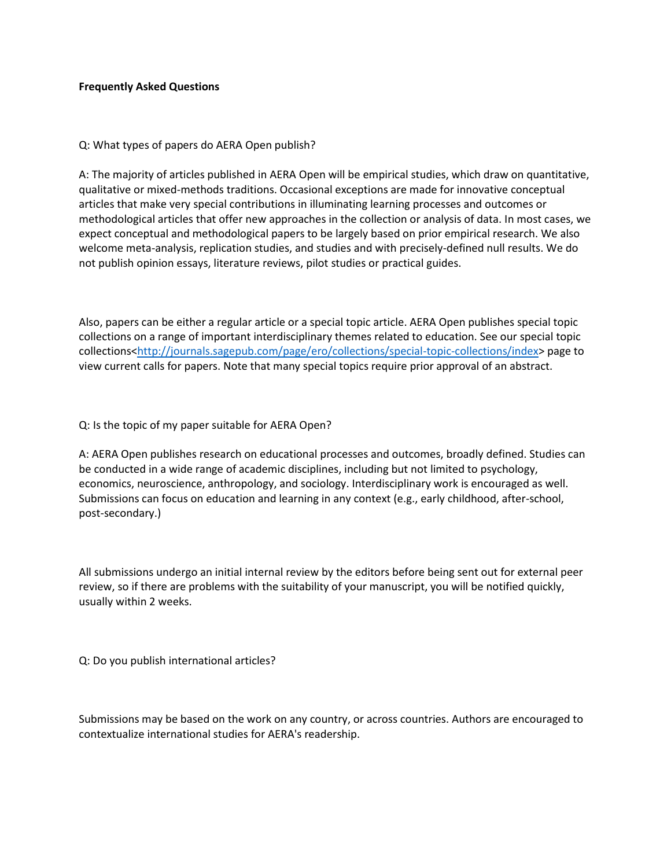## **Frequently Asked Questions**

Q: What types of papers do AERA Open publish?

A: The majority of articles published in AERA Open will be empirical studies, which draw on quantitative, qualitative or mixed-methods traditions. Occasional exceptions are made for innovative conceptual articles that make very special contributions in illuminating learning processes and outcomes or methodological articles that offer new approaches in the collection or analysis of data. In most cases, we expect conceptual and methodological papers to be largely based on prior empirical research. We also welcome meta-analysis, replication studies, and studies and with precisely-defined null results. We do not publish opinion essays, literature reviews, pilot studies or practical guides.

Also, papers can be either a regular article or a special topic article. AERA Open publishes special topic collections on a range of important interdisciplinary themes related to education. See our special topic collections[<http://journals.sagepub.com/page/ero/collections/special-topic-collections/index>](http://journals.sagepub.com/page/ero/collections/special-topic-collections/index) page to view current calls for papers. Note that many special topics require prior approval of an abstract.

## Q: Is the topic of my paper suitable for AERA Open?

A: AERA Open publishes research on educational processes and outcomes, broadly defined. Studies can be conducted in a wide range of academic disciplines, including but not limited to psychology, economics, neuroscience, anthropology, and sociology. Interdisciplinary work is encouraged as well. Submissions can focus on education and learning in any context (e.g., early childhood, after-school, post-secondary.)

All submissions undergo an initial internal review by the editors before being sent out for external peer review, so if there are problems with the suitability of your manuscript, you will be notified quickly, usually within 2 weeks.

Q: Do you publish international articles?

Submissions may be based on the work on any country, or across countries. Authors are encouraged to contextualize international studies for AERA's readership.